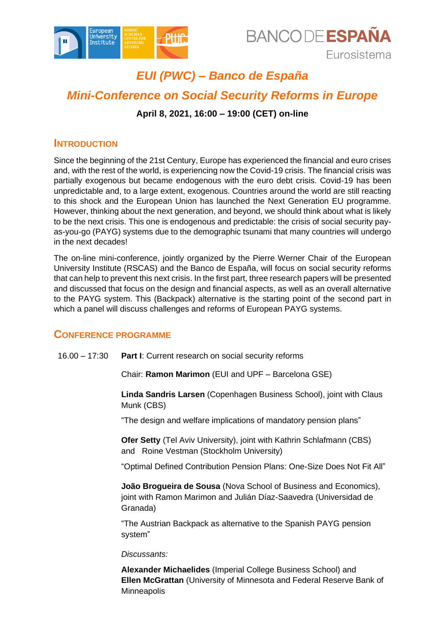



# *EUI (PWC) – Banco de España Mini-Conference on Social Security Reforms in Europe* **April 8, 2021, 16:00 – 19:00 (CET) on-line**

### **INTRODUCTION**

Since the beginning of the 21st Century, Europe has experienced the financial and euro crises and, with the rest of the world, is experiencing now the Covid-19 crisis. The financial crisis was partially exogenous but became endogenous with the euro debt crisis. Covid-19 has been unpredictable and, to a large extent, exogenous. Countries around the world are still reacting to this shock and the European Union has launched the Next Generation EU programme. However, thinking about the next generation, and beyond, we should think about what is likely to be the next crisis. This one is endogenous and predictable: the crisis of social security payas-you-go (PAYG) systems due to the demographic tsunami that many countries will undergo in the next decades!

The on-line mini-conference, jointly organized by the Pierre Werner Chair of the European University Institute (RSCAS) and the Banco de España, will focus on social security reforms that can help to prevent this next crisis. In the first part, three research papers will be presented and discussed that focus on the design and financial aspects, as well as an overall alternative to the PAYG system. This (Backpack) alternative is the starting point of the second part in which a panel will discuss challenges and reforms of European PAYG systems.

## **CONFERENCE PROGRAMME**

16.00 – 17:30 **Part I**: Current research on social security reforms

Chair: **Ramon Marimon** (EUI and UPF – Barcelona GSE)

**Linda Sandris Larsen** (Copenhagen Business School), joint with Claus Munk (CBS)

"The design and welfare implications of mandatory pension plans"

**Ofer Setty** (Tel Aviv University), joint with Kathrin Schlafmann (CBS) and Roine Vestman (Stockholm University)

"Optimal Defined Contribution Pension Plans: One-Size Does Not Fit All"

**João Brogueira de Sousa** (Nova School of Business and Economics), joint with Ramon Marimon and Julián Díaz-Saavedra (Universidad de Granada)

"The Austrian Backpack as alternative to the Spanish PAYG pension system"

#### *Discussants:*

**Alexander Michaelides** (Imperial College Business School) and **Ellen McGrattan** (University of Minnesota and Federal Reserve Bank of **Minneapolis**